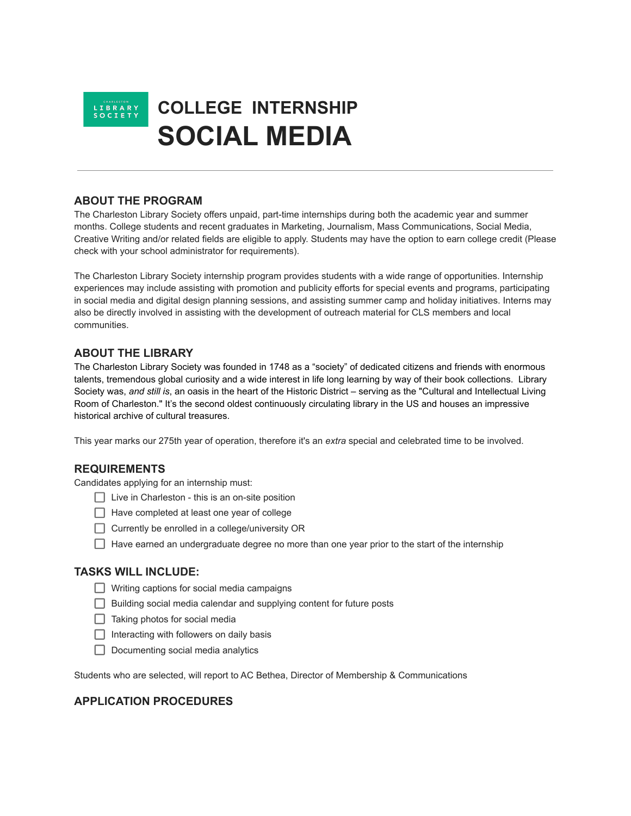

## **COLLEGE INTERNSHIP SOCIAL MEDIA**

## **ABOUT THE PROGRAM**

The Charleston Library Society offers unpaid, part-time internships during both the academic year and summer months. College students and recent graduates in Marketing, Journalism, Mass Communications, Social Media, Creative Writing and/or related fields are eligible to apply. Students may have the option to earn college credit (Please check with your school administrator for requirements).

The Charleston Library Society internship program provides students with a wide range of opportunities. Internship experiences may include assisting with promotion and publicity efforts for special events and programs, participating in social media and digital design planning sessions, and assisting summer camp and holiday initiatives. Interns may also be directly involved in assisting with the development of outreach material for CLS members and local communities.

### **ABOUT THE LIBRARY**

The Charleston Library Society was founded in 1748 as a "society" of dedicated citizens and friends with enormous talents, tremendous global curiosity and a wide interest in life long learning by way of their book collections. Library Society was, *and still is*, an oasis in the heart of the Historic District – serving as the "Cultural and Intellectual Living Room of Charleston." It's the second oldest continuously circulating library in the US and houses an impressive historical archive of cultural treasures.

This year marks our 275th year of operation, therefore it's an *extra* special and celebrated time to be involved.

#### **REQUIREMENTS**

Candidates applying for an internship must:

- $\Box$  Live in Charleston this is an on-site position
- $\Box$  Have completed at least one year of college
- $\Box$  Currently be enrolled in a college/university OR
- $\Box$  Have earned an undergraduate degree no more than one year prior to the start of the internship

#### **TASKS WILL INCLUDE:**

- $\Box$  Writing captions for social media campaigns
- $\Box$  Building social media calendar and supplying content for future posts
- $\Box$  Taking photos for social media
- $\Box$  Interacting with followers on daily basis
- $\Box$  Documenting social media analytics

Students who are selected, will report to AC Bethea, Director of Membership & Communications

#### **APPLICATION PROCEDURES**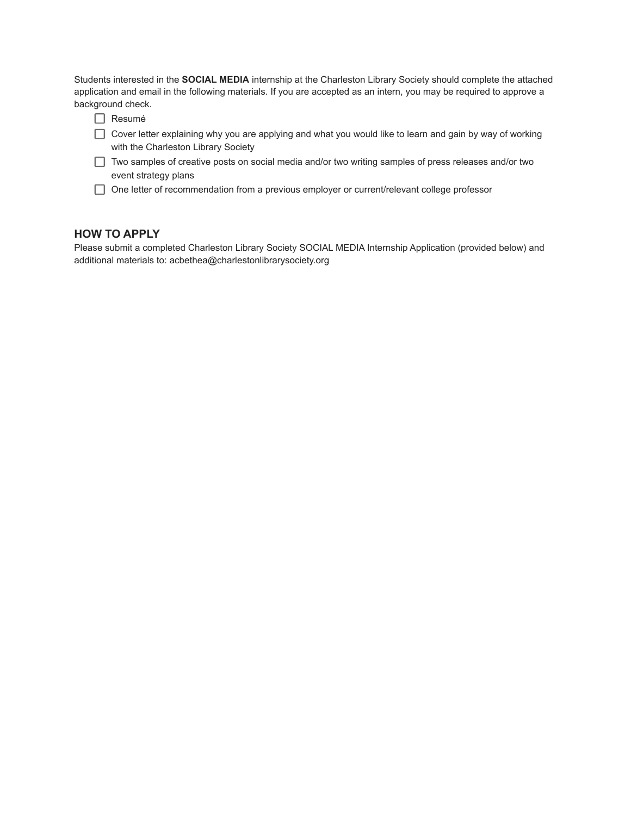Students interested in the **SOCIAL MEDIA** internship at the Charleston Library Society should complete the attached application and email in the following materials. If you are accepted as an intern, you may be required to approve a background check.

- $\Box$  Resumé
- Cover letter explaining why you are applying and what you would like to learn and gain by way of working with the Charleston Library Society
- Two samples of creative posts on social media and/or two writing samples of press releases and/or two event strategy plans
- $\Box$  One letter of recommendation from a previous employer or current/relevant college professor

## **HOW TO APPLY**

Please submit a completed Charleston Library Society SOCIAL MEDIA Internship Application (provided below) and additional materials to: acbethea@charlestonlibrarysociety.org